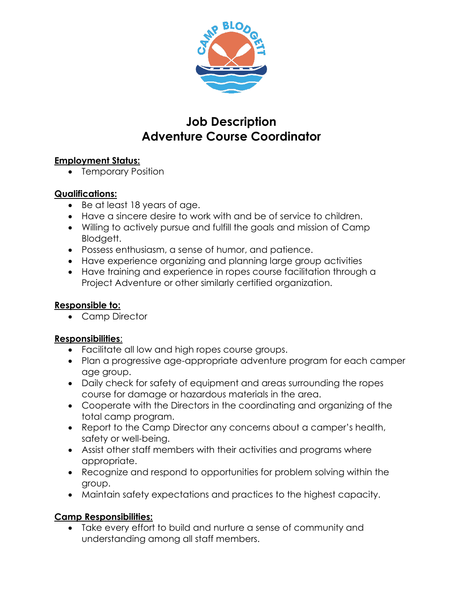

# **Job Description Adventure Course Coordinator**

# **Employment Status:**

• Temporary Position

# **Qualifications:**

- Be at least 18 years of age.
- Have a sincere desire to work with and be of service to children.
- Willing to actively pursue and fulfill the goals and mission of Camp Blodgett.
- Possess enthusiasm, a sense of humor, and patience.
- Have experience organizing and planning large group activities
- Have training and experience in ropes course facilitation through a Project Adventure or other similarly certified organization.

# **Responsible to:**

• Camp Director

# **Responsibilities**:

- Facilitate all low and high ropes course groups.
- Plan a progressive age-appropriate adventure program for each camper age group.
- Daily check for safety of equipment and areas surrounding the ropes course for damage or hazardous materials in the area.
- Cooperate with the Directors in the coordinating and organizing of the total camp program.
- Report to the Camp Director any concerns about a camper's health, safety or well-being.
- Assist other staff members with their activities and programs where appropriate.
- Recognize and respond to opportunities for problem solving within the group.
- Maintain safety expectations and practices to the highest capacity.

# **Camp Responsibilities:**

• Take every effort to build and nurture a sense of community and understanding among all staff members.